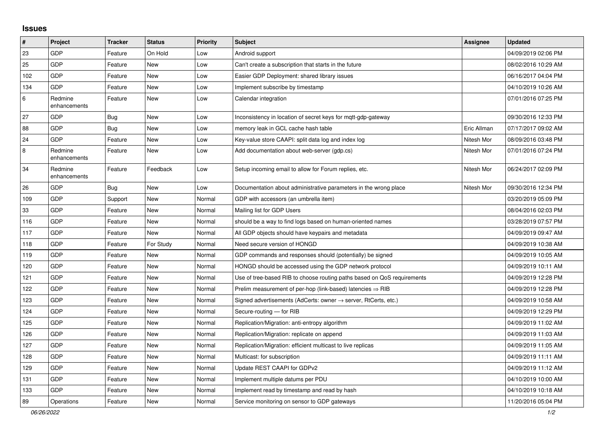## **Issues**

| #   | Project                 | <b>Tracker</b> | <b>Status</b> | <b>Priority</b> | <b>Subject</b>                                                          | <b>Assignee</b> | <b>Updated</b>      |
|-----|-------------------------|----------------|---------------|-----------------|-------------------------------------------------------------------------|-----------------|---------------------|
| 23  | <b>GDP</b>              | Feature        | On Hold       | Low             | Android support                                                         |                 | 04/09/2019 02:06 PM |
| 25  | GDP                     | Feature        | <b>New</b>    | Low             | Can't create a subscription that starts in the future                   |                 | 08/02/2016 10:29 AM |
| 102 | GDP                     | Feature        | <b>New</b>    | Low             | Easier GDP Deployment: shared library issues                            |                 | 06/16/2017 04:04 PM |
| 134 | GDP                     | Feature        | New           | Low             | Implement subscribe by timestamp                                        |                 | 04/10/2019 10:26 AM |
| 6   | Redmine<br>enhancements | Feature        | <b>New</b>    | Low             | Calendar integration                                                    |                 | 07/01/2016 07:25 PM |
| 27  | GDP                     | <b>Bug</b>     | <b>New</b>    | Low             | Inconsistency in location of secret keys for mqtt-gdp-gateway           |                 | 09/30/2016 12:33 PM |
| 88  | GDP                     | Bug            | <b>New</b>    | Low             | memory leak in GCL cache hash table                                     | Eric Allman     | 07/17/2017 09:02 AM |
| 24  | GDP                     | Feature        | <b>New</b>    | Low             | Key-value store CAAPI: split data log and index log                     | Nitesh Mor      | 08/09/2016 03:48 PM |
| 8   | Redmine<br>enhancements | Feature        | <b>New</b>    | Low             | Add documentation about web-server (gdp.cs)                             | Nitesh Mor      | 07/01/2016 07:24 PM |
| 34  | Redmine<br>enhancements | Feature        | Feedback      | Low             | Setup incoming email to allow for Forum replies, etc.                   | Nitesh Mor      | 06/24/2017 02:09 PM |
| 26  | GDP                     | <b>Bug</b>     | <b>New</b>    | Low             | Documentation about administrative parameters in the wrong place        | Nitesh Mor      | 09/30/2016 12:34 PM |
| 109 | GDP                     | Support        | New           | Normal          | GDP with accessors (an umbrella item)                                   |                 | 03/20/2019 05:09 PM |
| 33  | GDP                     | Feature        | <b>New</b>    | Normal          | Mailing list for GDP Users                                              |                 | 08/04/2016 02:03 PM |
| 116 | GDP                     | Feature        | New           | Normal          | should be a way to find logs based on human-oriented names              |                 | 03/28/2019 07:57 PM |
| 117 | GDP                     | Feature        | <b>New</b>    | Normal          | All GDP objects should have keypairs and metadata                       |                 | 04/09/2019 09:47 AM |
| 118 | GDP                     | Feature        | For Study     | Normal          | Need secure version of HONGD                                            |                 | 04/09/2019 10:38 AM |
| 119 | GDP                     | Feature        | <b>New</b>    | Normal          | GDP commands and responses should (potentially) be signed               |                 | 04/09/2019 10:05 AM |
| 120 | GDP                     | Feature        | <b>New</b>    | Normal          | HONGD should be accessed using the GDP network protocol                 |                 | 04/09/2019 10:11 AM |
| 121 | GDP                     | Feature        | New           | Normal          | Use of tree-based RIB to choose routing paths based on QoS requirements |                 | 04/09/2019 12:28 PM |
| 122 | GDP                     | Feature        | <b>New</b>    | Normal          | Prelim measurement of per-hop (link-based) latencies $\Rightarrow$ RIB  |                 | 04/09/2019 12:28 PM |
| 123 | GDP                     | Feature        | New           | Normal          | Signed advertisements (AdCerts: owner → server, RtCerts, etc.)          |                 | 04/09/2019 10:58 AM |
| 124 | GDP                     | Feature        | <b>New</b>    | Normal          | Secure-routing - for RIB                                                |                 | 04/09/2019 12:29 PM |
| 125 | GDP                     | Feature        | <b>New</b>    | Normal          | Replication/Migration: anti-entropy algorithm                           |                 | 04/09/2019 11:02 AM |
| 126 | GDP                     | Feature        | <b>New</b>    | Normal          | Replication/Migration: replicate on append                              |                 | 04/09/2019 11:03 AM |
| 127 | GDP                     | Feature        | <b>New</b>    | Normal          | Replication/Migration: efficient multicast to live replicas             |                 | 04/09/2019 11:05 AM |
| 128 | GDP                     | Feature        | <b>New</b>    | Normal          | Multicast: for subscription                                             |                 | 04/09/2019 11:11 AM |
| 129 | GDP                     | Feature        | <b>New</b>    | Normal          | Update REST CAAPI for GDPv2                                             |                 | 04/09/2019 11:12 AM |
| 131 | GDP                     | Feature        | New           | Normal          | Implement multiple datums per PDU                                       |                 | 04/10/2019 10:00 AM |
| 133 | GDP                     | Feature        | <b>New</b>    | Normal          | Implement read by timestamp and read by hash                            |                 | 04/10/2019 10:18 AM |
| 89  | Operations              | Feature        | <b>New</b>    | Normal          | Service monitoring on sensor to GDP gateways                            |                 | 11/20/2016 05:04 PM |